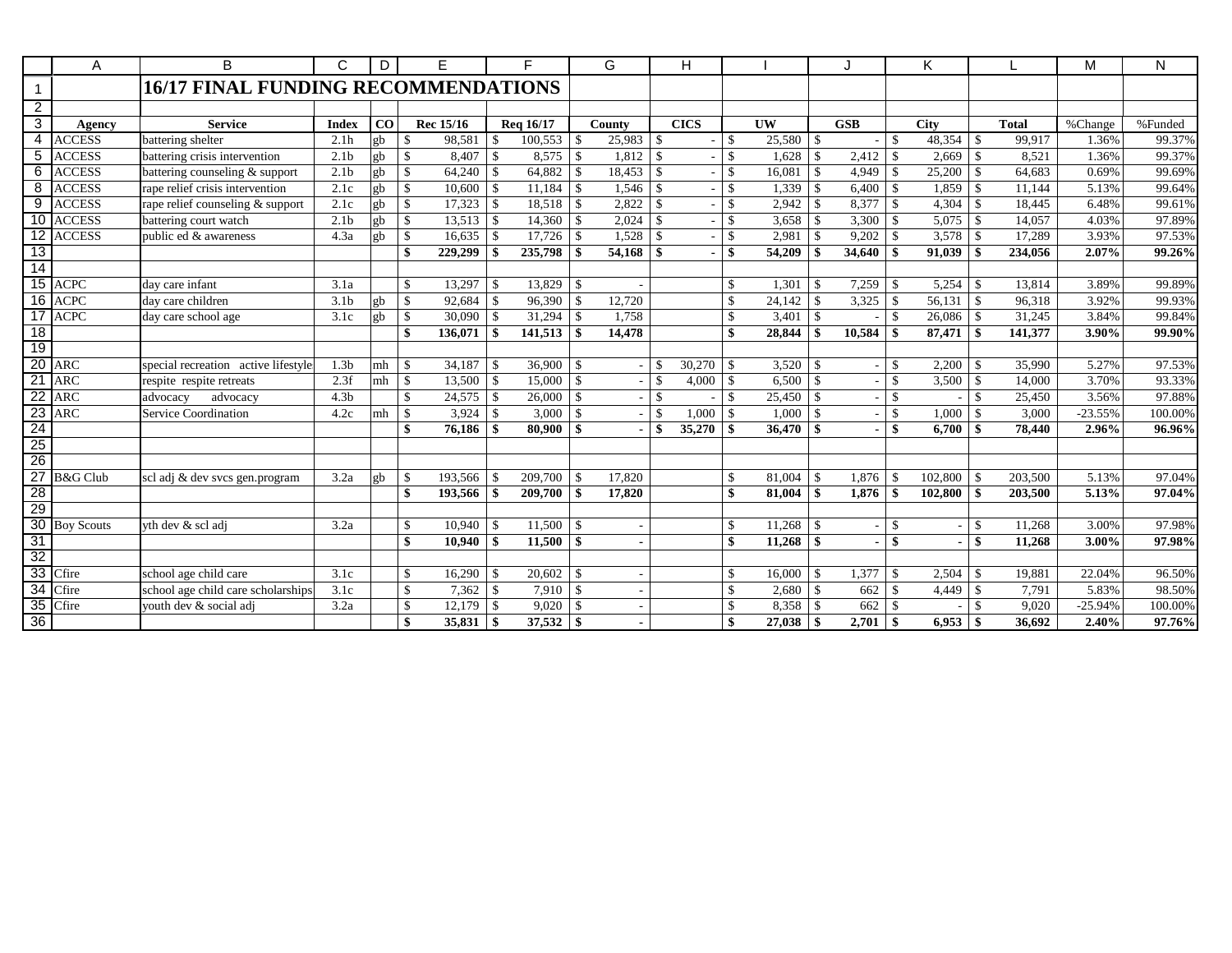|                 | Α                | B.                                         | C                | D               | E                       |               | F.            |                    | G      |                    | H           |                    |           |                    |                          |               | K           |                    |              | M         | N       |
|-----------------|------------------|--------------------------------------------|------------------|-----------------|-------------------------|---------------|---------------|--------------------|--------|--------------------|-------------|--------------------|-----------|--------------------|--------------------------|---------------|-------------|--------------------|--------------|-----------|---------|
| $\mathbf{1}$    |                  | <b>16/17 FINAL FUNDING RECOMMENDATIONS</b> |                  |                 |                         |               |               |                    |        |                    |             |                    |           |                    |                          |               |             |                    |              |           |         |
| $\overline{2}$  |                  |                                            |                  |                 |                         |               |               |                    |        |                    |             |                    |           |                    |                          |               |             |                    |              |           |         |
| 3               | <b>Agency</b>    | <b>Service</b>                             | <b>Index</b>     | CO <sub>1</sub> | Rec 15/16               |               | Reg 16/17     |                    | County |                    | <b>CICS</b> |                    | <b>UW</b> |                    | <b>GSB</b>               |               | <b>City</b> |                    | <b>Total</b> | %Change   | %Funded |
| $\overline{4}$  | <b>ACCESS</b>    | battering shelter                          | 2.1h             | gb              | $\mathbf{s}$<br>98,581  | <sup>\$</sup> | $100,553$ \$  |                    |        |                    |             | \$                 |           |                    |                          | \$            | 48,354      | l \$               | 99,917       | 1.36%     | 99.37%  |
| $\overline{5}$  | <b>ACCESS</b>    | battering crisis intervention              | 2.1 <sub>b</sub> | gb              | $\mathbb{S}$<br>8,407   | \$            |               |                    | 1,812  | \$                 |             | $\mathbf{\hat{S}}$ | 1,628     | <sup>\$</sup>      | 2,412                    | -\$           | 2,669       | -\$                | 8,521        | 1.36%     | 99.37%  |
| 6               | <b>ACCESS</b>    | battering counseling & support             | 2.1 <sub>b</sub> | gb              | $\mathbb{S}$<br>64,240  | <sup>\$</sup> | 64,882        | $\vert$ s          | 18,453 | \$                 |             | $\mathbf{\hat{S}}$ | 16,081    | -\$                | $4,949$ \$               |               | 25,200      | $\mathcal{S}$      | 64,683       | 0.69%     | 99.69%  |
| 8               | <b>ACCESS</b>    | rape relief crisis intervention            | 2.1c             | gh              | $\mathbb{S}$<br>10.600  | <sup>\$</sup> | 11,184        | 1 S                | 1,546  | \$                 |             | $\mathbf{\hat{S}}$ | 1,339     | $\mathcal{S}$      | $6,400$ \$               |               | 1,859       | -\$                | 11.144       | 5.13%     | 99.64%  |
| 9               | <b>ACCESS</b>    | rape relief counseling & support           | 2.1c             | gb              | $\mathbb{S}$<br>17,323  | $\mathcal{S}$ | 18,518        | $\vert$ \$         | 2,822  | $\mathcal{S}$      |             | $\mathbf{\hat{S}}$ | 2,942     | -S                 |                          |               | 4,304       | $\mathbf{\hat{S}}$ | 18,445       | 6.48%     | 99.61%  |
|                 | 10 ACCESS        | battering court watch                      | 2.1 <sub>b</sub> | gb              | $\mathbb{S}$<br>13,513  | \$            | 14,360        | $\mathbf{\hat{S}}$ | 2,024  |                    |             | $\mathbf{\hat{S}}$ | 3,658     | -S                 | 3,300                    | $\mathcal{S}$ | 5,075       | -\$                | 14,057       | 4.03%     | 97.89%  |
|                 | 12 ACCESS        | public ed & awareness                      | 4.3a             | gb              | $\mathbb{S}$<br>16,635  | \$            |               |                    | 1,528  | $\mathbf{\hat{S}}$ |             | $\mathbf{\hat{S}}$ | 2,981     | -\$                | 9,202                    | $\mathcal{S}$ |             |                    | 17,289       | 3.93%     | 97.53%  |
| 13              |                  |                                            |                  |                 | $\mathbf{s}$<br>229,299 | \$            | $235,798$ \$  |                    | 54,168 | \$                 |             | \$                 | 54,209    | -\$                | 34,640                   | $\mathbf{\$}$ | 91,039      | -\$                | 234,056      | 2.07%     | 99.26%  |
| 14              |                  |                                            |                  |                 |                         |               |               |                    |        |                    |             |                    |           |                    |                          |               |             |                    |              |           |         |
|                 | 15 ACPC          | day care infant                            | 3.1a             |                 | $\mathbb{S}$<br>13,297  | $\mathbf{\$}$ | $13,829$ \$   |                    |        |                    |             | $\mathbf{\$}$      | 1,301     | $\mathcal{S}$      | 7,259                    | $\mathcal{S}$ |             |                    | 13.814       | 3.89%     | 99.89%  |
| 16              | <b>ACPC</b>      | day care children                          | 3.1 <sub>b</sub> | gb              | $\mathbb{S}$<br>92,684  | \$            |               |                    | 12,720 |                    |             | $\mathbf{\hat{S}}$ | 24,142    | \$                 | 3,325                    | -\$           | 56,131      | -\$                | 96,318       | 3.92%     | 99.93%  |
| 17              | <b>ACPC</b>      | day care school age                        | 3.1c             | gb              | $\mathbb{S}$<br>30,090  | \$            | 31,294        | -\$                | 1,758  |                    |             | $\mathbf{\hat{S}}$ | 3,401     | $\mathbf{\hat{s}}$ |                          | <sup>\$</sup> | 26,086      | $\mathcal{S}$      | 31,245       | 3.84%     | 99.84%  |
| 18              |                  |                                            |                  |                 | \$<br>136,071           | \$            | 141,513       | l \$               | 14,478 |                    |             | \$                 | 28,844    | \$                 | 10,584                   | \$            | 87,471      | -\$                | 141,377      | 3.90%     | 99.90%  |
| 19              |                  |                                            |                  |                 |                         |               |               |                    |        |                    |             |                    |           |                    |                          |               |             |                    |              |           |         |
| 20              | <b>ARC</b>       | special recreation active lifestyle        | 1.3 <sub>b</sub> | mh              | $\mathcal{S}$<br>34.187 | $\mathbf{\$}$ | $36,900$ \ \$ |                    |        | \$                 | 30.270      | $\mathbf{\$}$      | 3,520     | -\$                | $\overline{\phantom{a}}$ | \$            | 2.200       | -S                 | 35.990       | 5.27%     | 97.53%  |
| 21              | <b>ARC</b>       | respite respite retreats                   | 2.3f             | $m h$   \$      | 13,500                  | \$            | 15,000        | l \$               |        | \$                 | 4,000       | $\mathbf{\$}$      | 6,500     | $\mathcal{S}$      | $\overline{\phantom{0}}$ | $\mathcal{S}$ | 3,500       | $\vert$ \$         | 14,000       | 3.70%     | 93.33%  |
| 22              | <b>ARC</b>       | advocacy<br>advocacy                       | 4.3 <sub>b</sub> |                 | $\mathbb{S}$<br>24,575  | \$            | 26,000        | $\mathcal{S}$      |        | \$                 |             | $\mathcal{S}$      | 25,450    | $\mathcal{S}$      |                          | \$            |             | $\mathcal{S}$      | 25,450       | 3.56%     | 97.88%  |
| 23              | <b>ARC</b>       | Service Coordination                       | 4.2c             | mh              | $\mathcal{S}$<br>3,924  | \$            | 3,000         | $\mathbf{\$}$      |        | $\mathbf{\hat{S}}$ | 1,000       | $\mathcal{S}$      | 1,000     | -\$                |                          | $\mathcal{S}$ | 1,000       | -\$                | 3,000        | $-23.55%$ | 100.00% |
| $\overline{24}$ |                  |                                            |                  |                 | $\mathbf{s}$<br>76.186  | \$            | 80,900        | $\vert s$          |        | \$                 | 35,270      | \$                 | 36,470    | -\$                |                          | \$            | 6,700       | $\vert$ \$         | 78.440       | 2.96%     | 96.96%  |
| $\frac{25}{26}$ |                  |                                            |                  |                 |                         |               |               |                    |        |                    |             |                    |           |                    |                          |               |             |                    |              |           |         |
|                 |                  |                                            |                  |                 |                         |               |               |                    |        |                    |             |                    |           |                    |                          |               |             |                    |              |           |         |
| $\overline{27}$ | <b>B</b> &G Club | scl adj & dev svcs gen.program             | 3.2a             | gb              | $\mathbf{s}$<br>193,566 | $\mathbf{\$}$ |               |                    | 17,820 |                    |             | $\mathbf{\$}$      | 81,004    | -\$                |                          |               | 102,800     | -S                 | 203,500      | 5.13%     | 97.04%  |
| 28              |                  |                                            |                  |                 | $\mathbf{s}$<br>193.566 | \$            |               |                    | 17,820 |                    |             | \$                 | 81.004    | -\$                | $1.876$ \$               |               | 102,800     | -\$                | 203.500      | 5.13%     | 97.04%  |
| 29              |                  |                                            |                  |                 |                         |               |               |                    |        |                    |             |                    |           |                    |                          |               |             |                    |              |           |         |
|                 | 30 Boy Scouts    | yth dev & scl adj                          | 3.2a             |                 | $\mathbb{S}$<br>10,940  | $\mathbf{\$}$ |               |                    |        |                    |             | $\mathbf{\$}$      | 11,268    | -\$                | $\sim$                   | $\mathcal{S}$ |             | $\mathbf{\hat{S}}$ | 11,268       | 3.00%     | 97.98%  |
| 31              |                  |                                            |                  |                 | $\mathbf{s}$<br>10,940  | \$            |               |                    |        |                    |             | \$                 | 11,268    | -\$                |                          | \$            |             | \$                 | 11,268       | 3.00%     | 97.98%  |
| $\overline{32}$ |                  |                                            |                  |                 |                         |               |               |                    |        |                    |             |                    |           |                    |                          |               |             |                    |              |           |         |
| 33              | Cfire            | school age child care                      | 3.1c             |                 | $\mathbb{S}$<br>16,290  | $\mathbf{\$}$ |               |                    |        |                    |             | \$                 | 16,000    | -\$                | 1.377                    | $\mathcal{S}$ | 2.504       | -\$                | 19.881       | 22.04%    | 96.50%  |
| $\overline{34}$ | Cfire            | school age child care scholarships         | 3.1c             |                 | $\mathbb{S}$<br>7,362   | $\mathbb{S}$  |               |                    |        |                    |             | $\mathcal{S}$      | 2,680     | $\mathbf{\hat{s}}$ | 662                      | $\mathcal{S}$ |             |                    | 7,791        | 5.83%     | 98.50%  |
| 35              | Cfire            | youth dev & social adj                     | 3.2a             |                 | $\mathbb{S}$<br>12,179  | \$            | 9,020         | $\mathcal{S}$      |        |                    |             | $\mathcal{S}$      | 8,358     | -\$                | 662                      | \$            |             | $\mathcal{L}$      | 9,020        | $-25.94%$ | 100.00% |
| 36              |                  |                                            |                  |                 | $\mathbf{s}$<br>35,831  | \$            |               |                    |        |                    |             | \$                 |           |                    | 2,701                    | -S            | $6,953$ \$  |                    | 36.692       | 2.40%     | 97.76%  |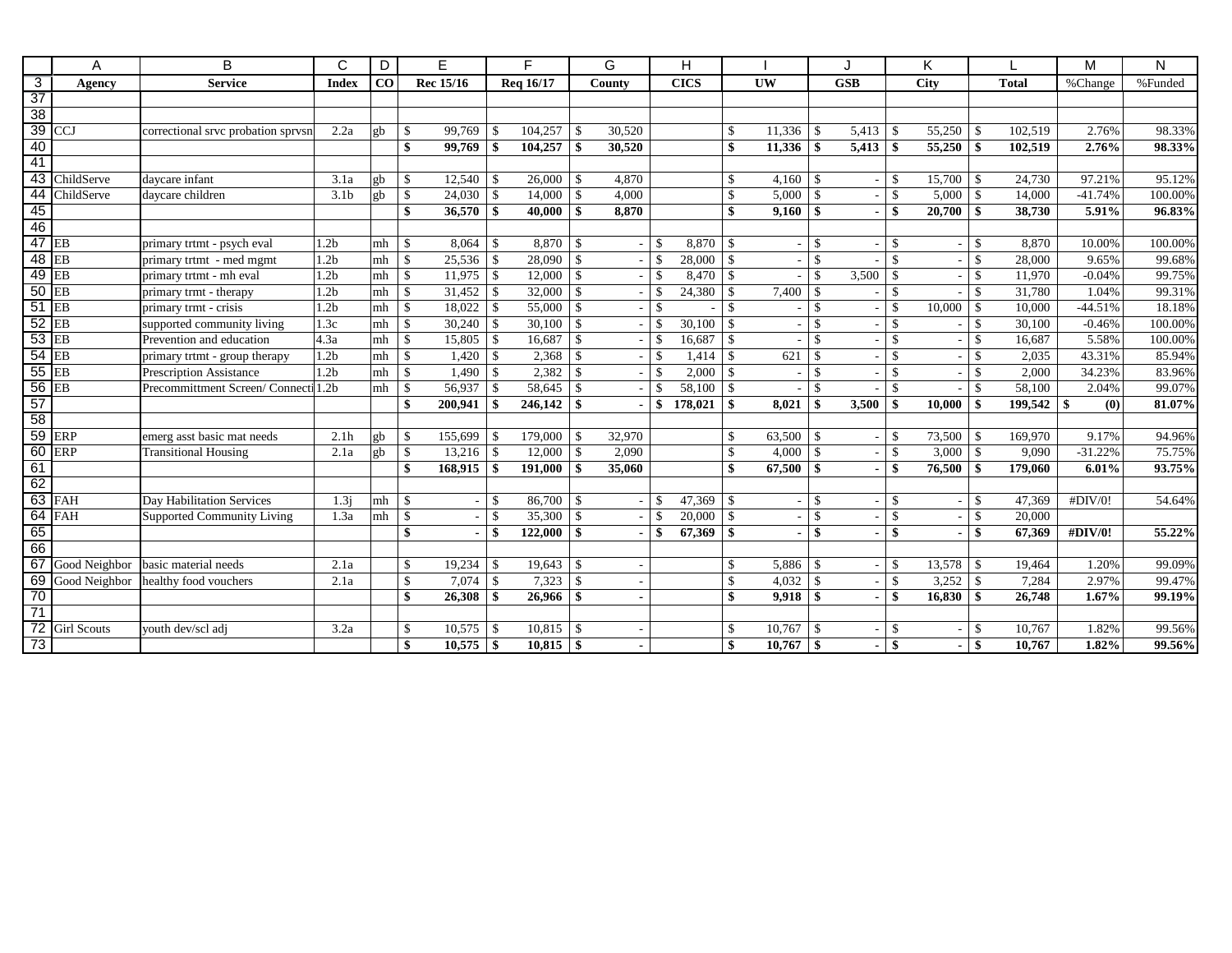|                           | A                | B                                   | C                | D              | E                         |                    | F.        |               | G      |               | H           |                    |                        |               |                          |               | Κ           |               |                | M         | N       |
|---------------------------|------------------|-------------------------------------|------------------|----------------|---------------------------|--------------------|-----------|---------------|--------|---------------|-------------|--------------------|------------------------|---------------|--------------------------|---------------|-------------|---------------|----------------|-----------|---------|
| $\overline{\overline{3}}$ | Agency           | <b>Service</b>                      | <b>Index</b>     | $\bf{CO}$      | <b>Rec</b> 15/16          |                    | Reg 16/17 |               | County |               | <b>CICS</b> |                    | $\overline{\text{UW}}$ |               | GSB                      |               | <b>City</b> |               | <b>Total</b>   | %Change   | %Funded |
| $\overline{37}$           |                  |                                     |                  |                |                           |                    |           |               |        |               |             |                    |                        |               |                          |               |             |               |                |           |         |
| 38                        |                  |                                     |                  |                |                           |                    |           |               |        |               |             |                    |                        |               |                          |               |             |               |                |           |         |
|                           | $39$ CCJ         | correctional srvc probation sprvsn  | 2.2a             | gb             | $\mathbb{S}$<br>99,769    | -\$                | 104,257   | -\$           | 30.520 |               |             | <sup>\$</sup>      | 11,336                 |               |                          |               | 55,250      |               | 102,519        | 2.76%     | 98.33%  |
| 40                        |                  |                                     |                  |                | $\mathbf{s}$<br>99,769    | \$                 | 104.257   | -\$           | 30,520 |               |             | \$                 | 11,336                 | -\$           | $5,413$ \$               |               | 55,250      | -S            | 102.519        | 2.76%     | 98.33%  |
| 41                        |                  |                                     |                  |                |                           |                    |           |               |        |               |             |                    |                        |               |                          |               |             |               |                |           |         |
|                           | 43 ChildServe    | davcare infant                      | 3.1a             | gb             | $\mathbb{S}$<br>12,540    | \$                 | 26,000    | -\$           | 4,870  |               |             | <sup>\$</sup>      | 4,160                  | -\$           | $\overline{\phantom{0}}$ | \$            | 15,700      | -S            | 24,730         | 97.21%    | 95.12%  |
|                           | 44 ChildServe    | davcare children                    | 3.1 <sub>b</sub> | gb             | $\sqrt{3}$<br>$24,030$ \$ |                    | 14,000    | $\mathcal{S}$ | 4,000  |               |             | $\mathbf{\hat{S}}$ | 5,000                  | $\mathcal{S}$ |                          | \$            |             |               | 14,000         | $-41.74%$ | 100.00% |
| 45                        |                  |                                     |                  |                | $\mathbf{s}$<br>36,570    | -\$                | 40,000    | -\$           | 8,870  |               |             | \$                 | 9,160                  | -S            | $\overline{\phantom{0}}$ | \$            | 20,700      | -\$           | 38,730         | 5.91%     | 96.83%  |
| 46                        |                  |                                     |                  |                |                           |                    |           |               |        |               |             |                    |                        |               |                          |               |             |               |                |           |         |
| $47$ EB                   |                  | primary trtmt - psych eval          | 1.2 <sub>b</sub> | mh             | $\mathcal{S}$<br>8,064    | $\mathbb{S}$       | 8,870     | -S            |        | $\mathcal{S}$ | 8,870       | \$                 |                        | \$            |                          | \$            |             | \$            | 8,870          | 10.00%    | 100.00% |
|                           | <b>48 EB</b>     | primary trtmt - med mgmt            | 1.2 <sub>b</sub> | m <sub>h</sub> | $\mathbb{S}$<br>25,536    | $\mathbb{S}$       | 28,090    | -\$           |        | $\mathcal{S}$ | 28,000      | $\mathbf{\$}$      |                        | $\mathcal{S}$ |                          | $\mathcal{L}$ |             | \$            | 28,000         | 9.65%     | 99.68%  |
| $49$ EB                   |                  | primary trtmt - mh eval             | 1.2 <sub>b</sub> | mh             | $\sqrt{5}$<br>11,975      | $\mathbb{S}$       | 12,000    | \$            |        | \$            | 8,470       | $\mathbf{\$}$      |                        | $\mathcal{S}$ | 3,500                    | \$            |             | \$            | 11,970         | $-0.04%$  | 99.75%  |
| $50$ EB                   |                  | primary trmt - therapy              | 1.2 <sub>b</sub> | mh             | $\mathbb{S}$<br>31,452    | $\mathbb{S}$       | 32,000    | $\mathcal{S}$ |        | $\mathcal{S}$ | 24,380      | $\mathbf{\hat{S}}$ | 7,400                  | $\mathcal{S}$ |                          | $\mathcal{S}$ |             | \$            | 31,780         | 1.04%     | 99.31%  |
| $51$ EB                   |                  | primary trmt - crisis               | 1.2 <sub>b</sub> | mh             | $\mathbb{S}$<br>18,022    | $\mathbb{S}$       | 55,000    | \$            |        | \$            |             | $\mathcal{S}$      |                        | \$            |                          | $\mathcal{S}$ | 10,000      | \$            | 10,000         | $-44.51%$ | 18.18%  |
| $52$ EB                   |                  | supported community living          | 1.3c             | mh             | $\mathbb{S}$<br>30,240    | $\mathbf{\hat{S}}$ | 30,100    | \$            |        | \$            | 30,100      | <sup>\$</sup>      |                        | \$            |                          | \$            |             | \$            | 30,100         | $-0.46%$  | 100.00% |
| $53$ EB                   |                  | Prevention and education            | 4.3a             | mh             | $\mathbb{S}$<br>15,805    | $\mathbb{S}$       | 16,687    | $\mathcal{S}$ |        | $\mathbb{S}$  | 16,687      | $\mathbf{\hat{S}}$ |                        | $\mathcal{S}$ |                          | $\mathcal{S}$ |             | \$            | 16,687         | 5.58%     | 100.00% |
| $54$ EB                   |                  | primary trtmt - group therapy       | 1.2 <sub>b</sub> | mh             | <b>S</b><br>1,420         | $\mathbb{S}$       | 2,368     | \$            |        | \$            | 1,414       | $\mathcal{S}$      | 621                    | $\mathcal{S}$ |                          | $\mathcal{S}$ |             | \$            | 2,035          | 43.31%    | 85.94%  |
| $55$ EB                   |                  | <b>Prescription Assistance</b>      | 1.2 <sub>b</sub> | mh             | $\sqrt{5}$<br>1,490       | $\mathbb{S}$       | 2,382     | $\mathcal{S}$ |        | \$            | 2,000       | $\mathbf{\hat{S}}$ |                        | $\mathcal{S}$ |                          | \$            |             | \$            | 2,000          | 34.23%    | 83.96%  |
| 56 EB                     |                  | Precommittment Screen/Connecti 1.2b |                  | m <sub>h</sub> | $\vert$ \$<br>56,937      | $\mathbb{S}$       | 58,645    | -\$           |        | \$            | 58,100      | $\mathcal{S}$      |                        | $\mathcal{S}$ |                          | $\mathcal{S}$ |             | $\mathcal{S}$ | 58,100         | 2.04%     | 99.07%  |
| $\overline{57}$           |                  |                                     |                  |                | $\mathbf{s}$<br>200,941   | \$                 | 246,142   | -\$           |        | \$            | 178,021     | \$                 | 8.021                  | -\$           | 3,500                    | \$            | 10,000      | \$            | $199,542$   \$ | (0)       | 81.07%  |
| 58                        |                  |                                     |                  |                |                           |                    |           |               |        |               |             |                    |                        |               |                          |               |             |               |                |           |         |
|                           | 59 ERP           | emerg asst basic mat needs          | 2.1h             | gb             | $\mathbf{s}$<br>155,699   | \$                 | 179,000   | -\$           | 32,970 |               |             | $\mathcal{S}$      | 63,500                 | -\$           | ٠                        | \$            | 73,500      |               | 169,970        | 9.17%     | 94.96%  |
|                           | <b>60 ERP</b>    | <b>Transitional Housing</b>         | 2.1a             | gb             | $\mathbb{S}$<br>13,216    | $\mathbf{\hat{S}}$ | 12,000    | -\$           | 2,090  |               |             | $\mathcal{S}$      | 4,000                  | -\$           | $\overline{\phantom{a}}$ | $\mathbf{\$}$ | 3,000       | -\$           | 9,090          | $-31.22%$ | 75.75%  |
| 61                        |                  |                                     |                  |                | \$<br>168,915             | \$                 | 191,000   | \$            | 35,060 |               |             | \$                 | 67,500                 | -\$           |                          | \$            | 76,500      | -\$           | 179,060        | 6.01%     | 93.75%  |
| 62                        |                  |                                     |                  |                |                           |                    |           |               |        |               |             |                    |                        |               |                          |               |             |               |                |           |         |
|                           | 63 FAH           | Day Habilitation Services           | 1.3j             | mh             | $\mathcal{S}$             | <sup>\$</sup>      | 86,700    | -\$           |        | $\mathcal{S}$ | 47,369      | $\mathbf{\$}$      |                        | $\mathcal{S}$ |                          | \$            |             | <sup>\$</sup> | 47,369         | #DIV/0!   | 54.64%  |
|                           | $64$ FAH         | <b>Supported Community Living</b>   | 1.3a             | mh             | \$                        | \$                 | 35,300    | $\mathcal{S}$ |        | $\mathcal{S}$ | 20,000      | $\mathbf{\hat{S}}$ |                        | \$            | ٠                        | $\mathcal{S}$ |             | \$            | 20,000         |           |         |
| 65                        |                  |                                     |                  |                | $\mathbf{s}$              | \$                 | 122,000   | -S            |        | \$            | 67,369      | \$                 |                        | $\mathbf{\$}$ |                          | \$            |             | \$            | 67,369         | #DIV/0!   | 55.22%  |
| 66                        |                  |                                     |                  |                |                           |                    |           |               |        |               |             |                    |                        |               |                          |               |             |               |                |           |         |
| 67                        | Good Neighbor    | basic material needs                | 2.1a             |                | \$<br>19,234              | \$                 | 19,643    | -\$           |        |               |             | $\mathcal{S}$      | 5,886                  | -\$           |                          | \$            | 13,578      |               | 19,464         | 1.20%     | 99.09%  |
|                           | 69 Good Neighbor | healthy food vouchers               | 2.1a             |                | $\mathbb{S}$<br>7,074     | $\mathbb{S}$       | 7,323     | $\mathcal{S}$ |        |               |             | $\mathbf{\hat{S}}$ | 4,032                  | <sup>\$</sup> |                          | $\mathcal{S}$ | 3,252       | -\$           | 7,284          | 2.97%     | 99.47%  |
| 70                        |                  |                                     |                  |                | $\mathbf{s}$<br>26,308    | \$                 | 26,966    | -S            |        |               |             | \$                 | 9.918                  | \$            |                          | \$            | 16,830      | \$            | 26,748         | 1.67%     | 99.19%  |
| 71                        |                  |                                     |                  |                |                           |                    |           |               |        |               |             |                    |                        |               |                          |               |             |               |                |           |         |
|                           | 72 Girl Scouts   | youth dev/scl adj                   | 3.2a             |                | \$<br>10,575              | -\$                | 10,815    | -\$           |        |               |             | $\mathbf{\$}$      | 10,767                 | -S            |                          | \$            |             | -S            | 10,767         | 1.82%     | 99.56%  |
| 73                        |                  |                                     |                  |                | $\mathbf{s}$<br>10,575    | \$                 |           |               |        |               |             | \$                 | 10,767                 | \$            | $\overline{\phantom{0}}$ | \$            |             |               | 10,767         | 1.82%     | 99.56%  |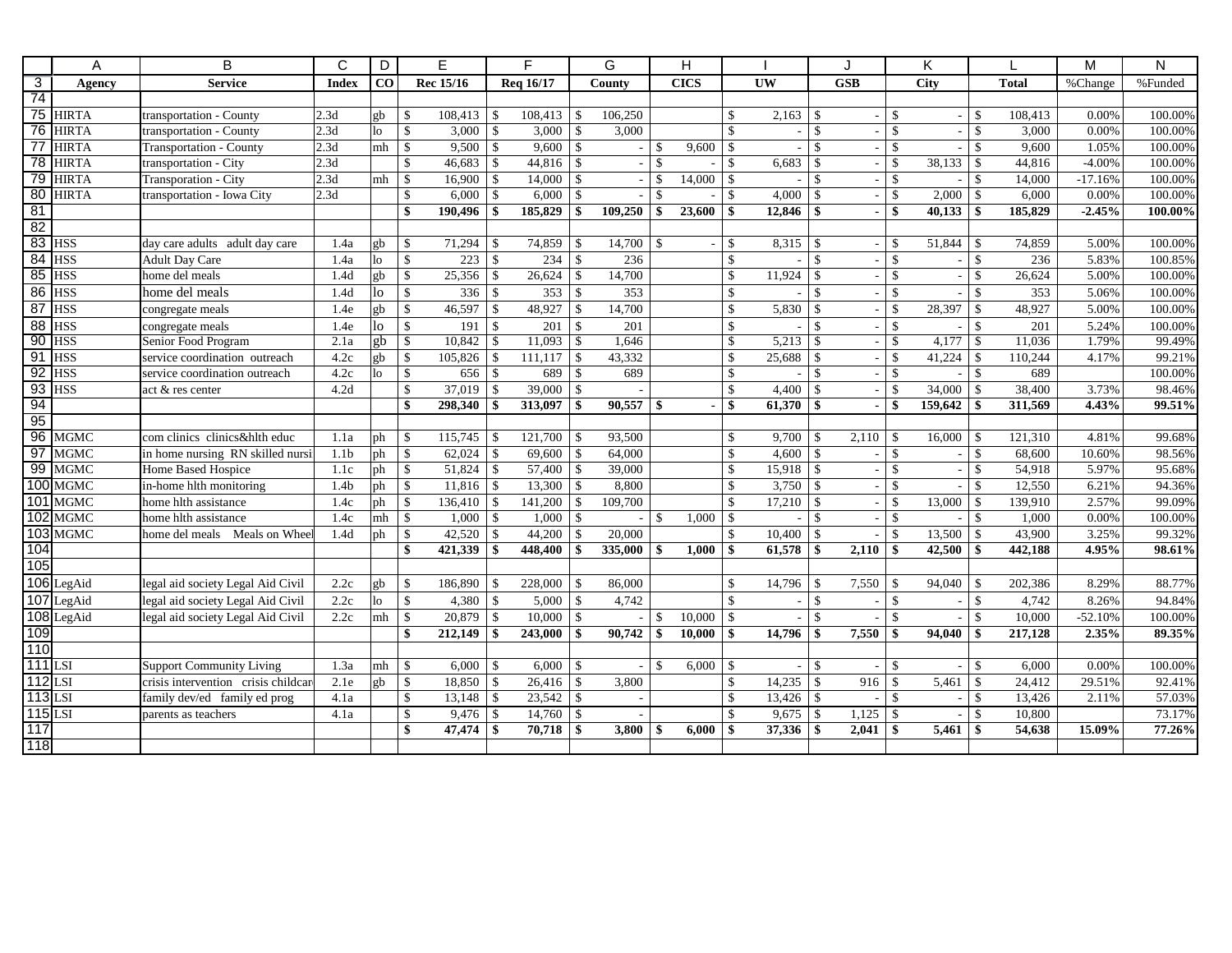|                 | A             | B                                   | C                | D              | Е                             |                    | F                     |               | G       |               | H            |                    |                        |                    | J                        |                    | K                        |                    |              | M         | N       |
|-----------------|---------------|-------------------------------------|------------------|----------------|-------------------------------|--------------------|-----------------------|---------------|---------|---------------|--------------|--------------------|------------------------|--------------------|--------------------------|--------------------|--------------------------|--------------------|--------------|-----------|---------|
| $\overline{3}$  | Agency        | <b>Service</b>                      | <b>Index</b>     | $\bf CO$       | Rec 15/16                     |                    | Req 16/17             |               | County  |               | <b>CICS</b>  |                    | <b>UW</b>              |                    | <b>GSB</b>               |                    | <b>City</b>              |                    | <b>Total</b> | %Change   | %Funded |
| $\overline{74}$ |               |                                     |                  |                |                               |                    |                       |               |         |               |              |                    |                        |                    |                          |                    |                          |                    |              |           |         |
|                 | 75 HIRTA      | transportation - County             | 2.3d             | gb             | $\mathbb{S}$<br>108,413       | $\mathcal{S}$      | 108,413               | $\vert$ \$    | 106,250 |               |              | \$                 | 2,163                  | $\mathcal{S}$      |                          | $\mathbf{\hat{S}}$ |                          | -\$                | 108,413      | 0.00%     | 100.00% |
|                 | 76 HIRTA      | transportation - County             | 2.3d             | 1 <sub>o</sub> | $\mathbb{S}$<br>3,000         | $\mathcal{S}$      | $3,000$ \ \$          |               | 3,000   |               |              | $\mathsf{\$}$      |                        | $\mathbf{\hat{S}}$ |                          | $\mathcal{S}$      | $\overline{\phantom{a}}$ | $\mathbb{S}$       | 3,000        | 0.00%     | 100.00% |
| $\overline{77}$ | <b>HIRTA</b>  | <b>Transportation - County</b>      | 2.3d             | mh             | $\mathsf{S}$<br>9.500         | $\mathbf{\hat{S}}$ | 9,600                 | $\mathsf{I}$  |         | \$            | 9,600        | $\mathbf{\hat{S}}$ |                        | $\mathbf{\hat{S}}$ | $\sim$                   | $\mathbf{\hat{S}}$ |                          | \$                 | 9.600        | 1.05%     | 100.00% |
| 78              | <b>HIRTA</b>  | transportation - City               | 2.3d             |                | $\mathbf{\hat{s}}$<br>46,683  | $\mathbb{S}$       |                       |               |         | \$            | $\sim$       | $\mathcal{S}$      | 6,683                  | $\mathbf{\hat{S}}$ | $\sim$                   | $\mathbf{\hat{s}}$ | 38,133                   | $\mathcal{S}$      | 44.816       | $-4.00%$  | 100.00% |
|                 | 79 HIRTA      | Transporation - City                | 2.3d             | mh             | $\mathbb{S}$<br>16,900        | \$                 | 14,000                | \$            |         | \$            | 14,000       | $\mathcal{S}$      |                        | $\mathbf{\hat{S}}$ | $\sim$                   | $\mathbf{\hat{S}}$ |                          | $\mathbb{S}$       | 14,000       | $-17.16%$ | 100.00% |
|                 | 80 HIRTA      | transportation - Iowa City          | 2.3d             |                | $\mathbb{S}$<br>6,000         | \$                 | $6,000$ \ \ \$        |               |         | \$            |              | $\mathbf{\hat{S}}$ | $4,000$ \ \ \$         |                    | $\overline{a}$           | $\mathcal{S}$      | 2,000                    | $\sqrt{S}$         | 6,000        | 0.00%     | 100.00% |
| 81              |               |                                     |                  |                | $\mathbf{s}$<br>190,496       | \$                 | 185,829               | -\$           | 109,250 | \$            | 23,600       | \$                 |                        |                    | $\blacksquare$           | $\mathbf{s}$       | 40,133                   | -S                 | 185,829      | $-2.45%$  | 100.00% |
| 82              |               |                                     |                  |                |                               |                    |                       |               |         |               |              |                    |                        |                    |                          |                    |                          |                    |              |           |         |
| 83 HSS          |               | day care adults adult day care      | 1.4a             | gb             | $\mathcal{S}$<br>71,294       | $\mathbf{\hat{S}}$ | 74,859                | l \$          | 14,700  | $\mathcal{S}$ |              | $\mathbf{\hat{S}}$ |                        |                    |                          | $-$ \$             | 51,844                   | -\$                | 74,859       | 5.00%     | 100.00% |
| <b>84 HSS</b>   |               | <b>Adult Day Care</b>               | 1.4a             | lo             | $\mathbb{S}$<br>223           | $\mathbf{\hat{S}}$ | 234                   | $\mathcal{S}$ | 236     |               |              | $\mathsf{\$}$      |                        | \$                 |                          | $\mathcal{S}$      |                          | $\mathbb{S}$       | 236          | 5.83%     | 100.85% |
|                 | <b>85 HSS</b> | home del meals                      | 1.4d             | gb             | $\mathcal{S}$<br>25,356       | $\mathcal{S}$      |                       |               | 14,700  |               |              | $\mathbf{\hat{s}}$ | 11,924                 | $\mathbf{\hat{S}}$ | $\sim$ .                 | $\mathcal{S}$      | $\overline{a}$           | $\mathcal{S}$      | 26.624       | 5.00%     | 100.00% |
|                 | 86 HSS        | home del meals                      | 1.4d             | lo             | $\mathbb{S}$<br>336           | \$                 | $353 \,$ \ \$         |               | 353     |               |              | \$                 |                        | \$                 | $\overline{\phantom{a}}$ | $\mathcal{S}$      |                          | \$                 | 353          | 5.06%     | 100.00% |
|                 | <b>87 HSS</b> | congregate meals                    | 1.4e             | gb             | $\mathbb{S}$<br>46,597        | $\mathbb{S}$       | 48,927                | $\vert$ \$    | 14,700  |               |              | \$                 | $5,830$ \ \ \$         |                    | $\overline{a}$           | $\mathbf{\hat{S}}$ | 28,397                   | $\mathbf{s}$       | 48,927       | 5.00%     | 100.00% |
|                 | 88 HSS        | congregate meals                    | 1.4e             | lo             | $\mathbb{S}$<br>191           | $\mathbb{S}$       | 201                   | - \$          | 201     |               |              | $\mathsf{\$}$      |                        | $\mathcal{S}$      |                          | \$                 |                          | \$                 | 201          | 5.24%     | 100.00% |
| 90 HSS          |               | Senior Food Program                 | 2.1a             | gb             | $\mathbb{S}$<br>10,842        | \$                 | $11,093$ \$           |               | 1,646   |               |              | $\mathbb{S}$       | $5,213$   \$           |                    | $\sim$ .                 | $\mathbf{\$}$      | 4,177                    | $\mathcal{S}$      | 11,036       | 1.79%     | 99.49%  |
| $91$ HSS        |               | service coordination outreach       | 4.2c             | gb             | $\mathcal{S}$<br>105,826      | $\mathcal{S}$      | 111,117               | $\mathbf{s}$  | 43,332  |               |              | \$                 | 25,688                 | $\mathcal{S}$      | $\overline{\phantom{a}}$ | $\mathcal{S}$      | 41,224                   | <sup>\$</sup>      | 110,244      | 4.17%     | 99.21%  |
| 92 HSS          |               | service coordination outreach       | 4.2c             | lo             | $\mathcal{S}$<br>656          | $\mathbf{\hat{S}}$ | 689                   | l \$          | 689     |               |              | $\mathsf{\$}$      |                        | $\mathbf{\hat{S}}$ | $\overline{a}$           | $\mathbf{\hat{S}}$ | $\overline{\phantom{a}}$ | \$                 | 689          |           | 100.00% |
|                 | 93 HSS        | act & res center                    | 4.2d             |                | $\mathbf S$<br>37.019         | $\mathcal{S}$      | 39,000                | - \$          |         |               |              | $\mathbf{\hat{s}}$ |                        |                    | $\sim$                   | $\mathbf{\hat{S}}$ | 34,000                   | $\mathcal{S}$      | 38,400       | 3.73%     | 98.46%  |
| 94              |               |                                     |                  |                | $\mathbf{s}$<br>298,340       | \$                 | 313,097               | -\$           | 90,557  | \$            |              | \$                 | $61,370$ \$            |                    | $\sim$                   | -\$                | 159,642                  | -\$                | 311,569      | 4.43%     | 99.51%  |
| 95              |               |                                     |                  |                |                               |                    |                       |               |         |               |              |                    |                        |                    |                          |                    |                          |                    |              |           |         |
|                 | 96 MGMC       | com clinics clinics&hlth educ       | 1.1a             | ph             | 115,745<br>$\mathbb{S}$       | \$                 | 121,700               | -\$           | 93,500  |               |              | $\mathbb{S}$       | 9,700                  | \$                 |                          |                    | 16,000                   | \$                 | 121,310      | 4.81%     | 99.68%  |
| 97              | <b>MGMC</b>   | in home nursing RN skilled nursing  | 1.1 <sub>b</sub> | ph             | $\mathbb{S}$<br>62,024        | <sup>\$</sup>      |                       |               | 64,000  |               |              | \$                 |                        |                    | $\overline{\phantom{0}}$ | $\mathcal{S}$      | $\overline{a}$           | $\mathbf{\hat{S}}$ | 68,600       | 10.60%    | 98.56%  |
|                 | 99 MGMC       | Home Based Hospice                  | 1.1c             | ph             | $\mathbb{S}$<br>51,824        | \$                 |                       |               | 39,000  |               |              | \$                 |                        |                    | $\sim$ .                 | $\mathcal{S}$      |                          | $\mathcal{S}$      | 54,918       | 5.97%     | 95.68%  |
|                 | 100 MGMC      | in-home hlth monitoring             | 1.4 <sub>b</sub> | ph             | $\mathcal{S}$<br>11,816       | $\mathcal{S}$      | 13,300                | l \$          | 8,800   |               |              | \$                 |                        |                    | $\overline{a}$           | $\mathbf{\hat{S}}$ |                          | \$                 | 12,550       | 6.21%     | 94.36%  |
|                 | 101 MGMC      | home hlth assistance                | 1.4c             | ph             | $\mathbf{\hat{S}}$<br>136,410 | $\mathbb{S}$       | 141,200               | l \$          | 109,700 |               |              | $\mathbf{\hat{s}}$ | $17,210$ \ \$          |                    | $\sim$ .                 | $\mathbf{\hat{s}}$ | 13,000                   | $\mathcal{S}$      | 139,910      | 2.57%     | 99.09%  |
|                 | 102 MGMC      | home hith assistance                | 1.4c             |                | 1,000                         | $\mathbf{\hat{S}}$ | $1,000 \, \vert \, \$ |               |         | \$            | 1,000        | \$                 |                        | $\mathbf{\hat{S}}$ | $\sim$ .                 | - \$               |                          | $\mathcal{S}$      | 1,000        | 0.00%     | 100.00% |
|                 | 103 MGMC      | home del meals Meals on Whee        | 1.4d             | ph             | $\mathbb{S}$<br>42,520        | $\sqrt{5}$         | 44,200   \$           |               | 20,000  |               |              | \$                 | $\overline{10,400}$ \$ |                    |                          | $-1$ \$            | 13,500                   | \$                 | 43,900       | 3.25%     | 99.32%  |
| 104             |               |                                     |                  |                | \$<br>421,339                 | \$                 | 448,400               | -\$           | 335,000 |               | 1.000        | \$                 |                        |                    |                          |                    | 42,500                   | -\$                | 442,188      | 4.95%     | 98.61%  |
| 105             |               |                                     |                  |                |                               |                    |                       |               |         |               |              |                    |                        |                    |                          |                    |                          |                    |              |           |         |
|                 | 106 LegAid    | legal aid society Legal Aid Civil   | 2.2c             | gb             | $\mathbb{S}$<br>186,890       | -S                 | 228,000               | \$            | 86,000  |               |              | $\mathbb{S}$       | 14,796                 | $\mathcal{S}$      |                          |                    | 94,040                   | - \$               | 202,386      | 8.29%     | 88.77%  |
|                 | 107 LegAid    | legal aid society Legal Aid Civil   | 2.2c             | lo             | $\mathbf{\hat{S}}$<br>4,380   | <sup>\$</sup>      | $5,000$ \ \ \$        |               | 4,742   |               |              | $\mathsf{\$}$      |                        | $\mathbf{\hat{S}}$ | $\sim$                   | $\mathbf{\hat{s}}$ |                          | $\mathcal{S}$      | 4,742        | 8.26%     | 94.84%  |
|                 | 108 LegAid    | legal aid society Legal Aid Civil   | 2.2c             | mh             | $\mathbf{\hat{S}}$<br>20.879  | $\mathbf{\hat{S}}$ | $10,000$ \ \$         |               |         | \$            | 10.000       | $\mathbf{\hat{S}}$ |                        | $\mathbf{\hat{S}}$ | $\overline{a}$           | $\mathbf{\hat{S}}$ |                          | $\mathcal{S}$      | 10.000       | $-52.10%$ | 100.00% |
| 109             |               |                                     |                  |                | $\mathbf{s}$<br>212,149       | \$                 | 243,000               | -\$           | 90.742  | \$            | 10,000       | $\mathbf{s}$       | 14,796                 | -\$                | $7,550$ \$               |                    | 94,040                   | \$                 | 217.128      | 2.35%     | 89.35%  |
| 110             |               |                                     |                  |                |                               |                    |                       |               |         |               |              |                    |                        |                    |                          |                    |                          |                    |              |           |         |
| $111$ LSI       |               | <b>Support Community Living</b>     | 1.3a             | mh             | <b>S</b><br>$6,000$ \ \ \$    |                    | $6,000$ \ \$          |               |         | $\mathbf{s}$  | $6,000$ \ \$ |                    |                        |                    |                          | $-1$ \$            |                          | <sup>\$</sup>      | 6,000        | 0.00%     | 100.00% |
| $112$ LSI       |               | crisis intervention crisis childcar | 2.1e             | gb             | $\mathbb{S}$<br>18,850        | \$                 |                       |               | 3,800   |               |              | \$                 |                        |                    | 916S                     |                    | 5,461                    | \$                 | 24,412       | 29.51%    | 92.41%  |
| $113$ LSI       |               | family dev/ed family ed prog        | 4.1a             |                | $\mathbb{S}$<br>13,148        | $\sqrt{S}$         |                       |               |         |               |              | \$                 |                        |                    |                          | $-1$ \$            | $\overline{a}$           | $\mathbf{\hat{S}}$ | 13,426       | 2.11%     | 57.03%  |
| $115$ LSI       |               | parents as teachers                 | 4.1a             |                | $\mathbb{S}$<br>9,476         | \$                 |                       |               |         |               |              | \$                 |                        |                    |                          |                    |                          | $\mathbb{S}$       | 10,800       |           | 73.17%  |
| 117             |               |                                     |                  |                | $\mathbf{s}$<br>47,474        | \$                 | 70,718                | l \$          | 3.800   | \$            | 6.000        | \$                 | 37,336                 | \$                 | $2.041 \, \vert \, \$    |                    | 5,461                    | -S                 | 54,638       | 15.09%    | 77.26%  |
| 118             |               |                                     |                  |                |                               |                    |                       |               |         |               |              |                    |                        |                    |                          |                    |                          |                    |              |           |         |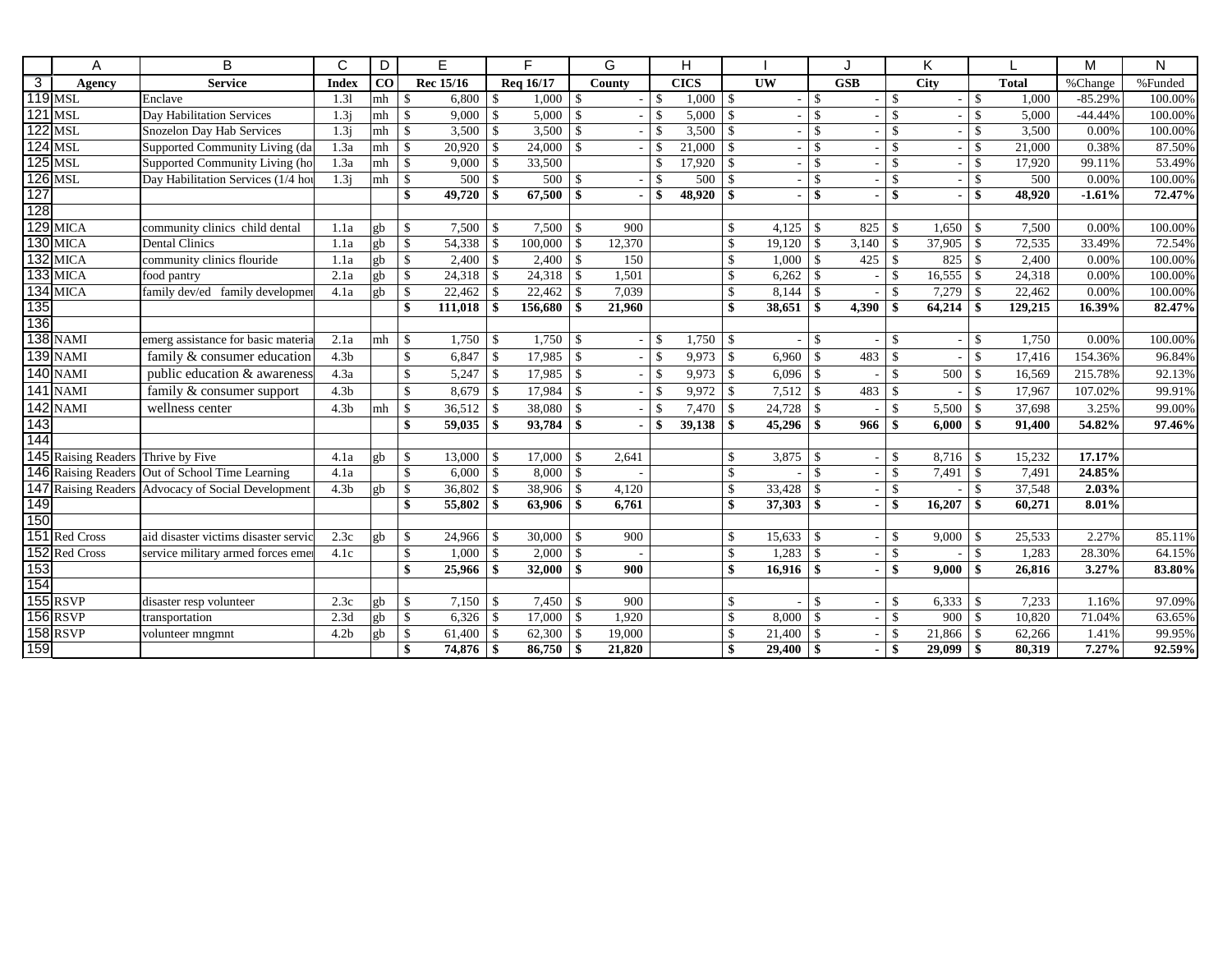|                   | A                                  | B                                                  | C                | D                    | E                       |                    | F.                    |                    | G      |                    | H           |                    |                        |                    | J.                       |                    | K            |                    |              | М         | N       |
|-------------------|------------------------------------|----------------------------------------------------|------------------|----------------------|-------------------------|--------------------|-----------------------|--------------------|--------|--------------------|-------------|--------------------|------------------------|--------------------|--------------------------|--------------------|--------------|--------------------|--------------|-----------|---------|
| $\overline{3}$    | Agency                             | <b>Service</b>                                     | <b>Index</b>     | CO <sub>1</sub>      | Rec 15/16               |                    | Reg 16/17             |                    | County |                    | <b>CICS</b> |                    | $\overline{\text{UW}}$ |                    | $\overline{\text{GSB}}$  |                    | <b>City</b>  |                    | <b>Total</b> | %Change   | %Funded |
|                   | $119$ MSL                          | Enclave                                            | 1.31             | mh                   | S<br>6,800              | <sup>\$</sup>      | 1,000                 | -\$                |        | \$                 | 1,000       | $\mathbf{\$}$      | $\sim$                 | $\mathcal{S}$      | $\sim$ .                 | l \$               |              | l \$               | 1.000        | $-85.29%$ | 100.00% |
|                   | <b>121 MSL</b>                     | Day Habilitation Services                          | 1.3i             | mh   \$              | 9,000                   | \$                 | 5,000                 | $\sqrt{5}$         |        | \$                 | 5,000       | $\mathbf{\hat{S}}$ |                        | $\mathbf{\hat{S}}$ |                          | \$                 |              | $\mathbf{\hat{S}}$ | 5,000        | $-44.44%$ | 100.00% |
|                   | <b>122 MSL</b>                     | Snozelon Day Hab Services                          | 1.3j             | $m h$   \$           | 3,500                   | \$                 | 3,500                 | $\vert$ s          |        | \$                 | 3,500       | $\mathbb{S}$       |                        | $\mathcal{S}$      | $\sim$                   | $\mathcal{S}$      |              | $\mathbf{\hat{S}}$ | 3,500        | 0.00%     | 100.00% |
|                   | $124$ MSL                          | Supported Community Living (da                     | 1.3a             | $mh$   $\frac{1}{3}$ | 20.920                  | $\mathbb{S}$       | 24,000                | 1 \$               |        | \$                 | 21,000      | $\mathbf{\hat{S}}$ |                        | $\mathbf{\hat{s}}$ | $\overline{\phantom{0}}$ | $\mathcal{S}$      |              | $\mathcal{S}$      | 21.000       | 0.38%     | 87.50%  |
|                   | $125$ MSL                          | Supported Community Living (ho                     | 1.3a             |                      | 9,000                   | \$                 | 33,500                |                    |        | $\mathbf{\hat{S}}$ | 17,920      | $\mathbf{\hat{S}}$ |                        | $\mathcal{S}$      | $\overline{\phantom{a}}$ | $\mathcal{S}$      |              | $\mathcal{S}$      | 17.920       | 99.11%    | 53.49%  |
|                   | <b>126 MSL</b>                     | Day Habilitation Services (1/4 hou                 | 1.3j             | $mh$   $\frac{1}{3}$ | 500                     | $\mathbb{S}$       | $500 \text{ s}$       |                    |        | \$                 | 500         | $\mathbf{\hat{S}}$ |                        | $\mathbf{\hat{S}}$ | $\overline{\phantom{a}}$ | \$                 |              | $\mathbf{\hat{s}}$ | 500          | 0.00%     | 100.00% |
| 127               |                                    |                                                    |                  |                      | $\mathbf{s}$<br>49,720  | \$                 |                       |                    |        | \$                 | 48,920      | $\mathbf{s}$       |                        | \$                 | $\blacksquare$           | \$                 |              | \$                 | 48,920       | $-1.61%$  | 72.47%  |
| 128               |                                    |                                                    |                  |                      |                         |                    |                       |                    |        |                    |             |                    |                        |                    |                          |                    |              |                    |              |           |         |
|                   | $129$ MICA                         | community clinics child dental                     | 1.1a             | gb                   | $\mathbb{S}$<br>7,500   | $\mathcal{S}$      | $7.500 \text{ }$ \ \$ |                    | 900    |                    |             | <sup>\$</sup>      | 4.125                  | $\mathcal{S}$      | 825                      | -\$                |              |                    | 7,500        | 0.00%     | 100.00% |
|                   | $130$ MICA                         | Dental Clinics                                     | 1.1a             | gb                   | $\mathbb{S}$<br>54,338  | \$                 | $100,000$   \$        |                    | 12,370 |                    |             | \$                 | 19,120                 | -\$                | 3,140                    | \$                 | 37,905       | $\vert$ \$         | 72,535       | 33.49%    | 72.54%  |
|                   | $132$ MICA                         | community clinics flouride                         | 1.1a             | gb                   | $\mathbb{S}$<br>2,400   | \$                 |                       |                    | 150    |                    |             | $\mathbf{\$}$      | 1,000                  | $\mathbf{\$}$      | 425                      | \$                 |              |                    | 2,400        | 0.00%     | 100.00% |
|                   | $133$ MICA                         | food pantry                                        | 2.1a             | gb                   | $\mathbb{S}$<br>24,318  | \$                 |                       |                    | 1,501  |                    |             | $\mathcal{S}$      | 6,262                  | $\mathbf{\$}$      | $\overline{\phantom{a}}$ | \$                 | 16,555       | $\mathsf{S}$       | 24,318       | 0.00%     | 100.00% |
|                   | $134$ MICA                         | family dev/ed family development                   | 4.1a             | gb                   | $\mathbb{S}$<br>22,462  | \$                 |                       |                    | 7,039  |                    |             | $\mathcal{S}$      | 8,144                  | $\mathcal{S}$      |                          | \$                 | 7,279        | -\$                | 22,462       | 0.00%     | 100.00% |
| $\frac{135}{136}$ |                                    |                                                    |                  |                      | $\mathbf{s}$<br>111,018 | \$                 | 156,680               | - \$               | 21,960 |                    |             | \$                 | 38,651                 | \$                 | 4,390                    | $\mathbf{\hat{S}}$ | $64,214$ \\$ |                    | 129,215      | 16.39%    | 82.47%  |
|                   |                                    |                                                    |                  |                      |                         |                    |                       |                    |        |                    |             |                    |                        |                    |                          |                    |              |                    |              |           |         |
|                   | <b>138 NAMI</b>                    | emerg assistance for basic materia                 | 2.1a             | m h                  | $\mathbb{S}$<br>1,750   | $\mathbf{\hat{S}}$ | $1,750$ \$            |                    |        | \$.                | 1,750       | -S                 |                        | <sup>\$</sup>      |                          | \$                 |              | -S                 | 1,750        | 0.00%     | 100.00% |
|                   | <b>139 NAMI</b>                    | family & consumer education                        | 4.3 <sub>b</sub> |                      | $\mathbb{S}$<br>6,847   | $\mathsf{\$}$      | 17,985                | $\vert$ s          |        | $\mathbf{\hat{S}}$ | 9,973       | $\mathcal{S}$      | 6,960                  | $\mathcal{S}$      | 483                      | $\mathcal{S}$      |              | $\mathcal{S}$      | 17,416       | 154.36%   | 96.84%  |
|                   | <b>140 NAMI</b>                    | public education & awareness                       | 4.3a             |                      | $\mathbb{S}$<br>5,247   | \$                 | 17,985                | $\mathbf{\hat{S}}$ |        | $\mathcal{S}$      | 9,973       | $\mathbf{\hat{S}}$ | 6,096                  | $\mathbf{\hat{S}}$ |                          | $\hat{\mathbf{x}}$ | 500          | $\mathbf{\hat{S}}$ | 16,569       | 215.78%   | 92.13%  |
|                   | <b>141 NAMI</b>                    | family & consumer support                          | 4.3 <sub>b</sub> |                      | $\mathbb{S}$<br>8,679   | \$                 | 17,984                | $\vert$ \$         |        | $\mathbf{\hat{S}}$ | 9,972       | $\mathcal{S}$      | 7,512                  | $\mathbf{\hat{S}}$ | 483                      | \$                 |              | $\mathbf{\hat{s}}$ | 17,967       | 107.02%   | 99.91%  |
|                   | <b>142 NAMI</b>                    | wellness center                                    | 4.3 <sub>b</sub> | mh                   | $\mathbb{S}$<br>36,512  | $\mathbf{\$}$      | 38,080                | $\mathcal{S}$      |        | $\mathbf{\hat{S}}$ | 7,470       | \$                 | 24,728                 | $\mathcal{S}$      |                          | \$                 | 5,500        | -\$                | 37,698       | 3.25%     | 99.00%  |
| 143               |                                    |                                                    |                  |                      | \$<br>59,035            | \$                 | 93,784 \$             |                    |        | \$                 | 39,138      | \$                 | 45,296                 | \$                 | 966                      | $\mathbf{\$}$      | 6,000        | -\$                | 91,400       | 54.82%    | 97.46%  |
| 144               |                                    |                                                    |                  |                      |                         |                    |                       |                    |        |                    |             |                    |                        |                    |                          |                    |              |                    |              |           |         |
|                   | 145 Raising Readers Thrive by Five |                                                    | 4.1a             | gb                   | $\mathbb{S}$<br>13,000  | \$                 | 17,000                | -\$                | 2,641  |                    |             | $\mathcal{S}$      | 3,875                  | -S                 |                          | \$.                | 8,716        | -S                 | 15,232       | 17.17%    |         |
|                   |                                    | 146 Raising Readers Out of School Time Learning    | 4.1a             |                      | $\mathbb{S}$<br>6,000   | \$                 | 8,000                 | l \$               |        |                    |             | $\mathbf{\hat{S}}$ |                        | $\mathcal{S}$      |                          | \$                 | 7,491        | $\mathbf{s}$       | 7,491        | 24.85%    |         |
|                   |                                    | 147 Raising Readers Advocacy of Social Development | 4.3 <sub>b</sub> | gb                   | $\mathbb{S}$<br>36,802  | \$                 | $38,906$ \$           |                    | 4,120  |                    |             | $\mathbf{\hat{S}}$ | 33,428                 | \$                 |                          | \$                 |              | \$                 | 37,548       | 2.03%     |         |
| 149               |                                    |                                                    |                  |                      | $\mathbf{s}$<br>55,802  | \$                 | 63,906                | -\$                | 6,761  |                    |             | \$                 | 37,303                 | \$                 |                          | \$                 | 16,207       | -\$                | 60,271       | 8.01%     |         |
| 150               |                                    |                                                    |                  |                      |                         |                    |                       |                    |        |                    |             |                    |                        |                    |                          |                    |              |                    |              |           |         |
|                   | 151 Red Cross                      | aid disaster victims disaster servic               | 2.3c             | gb                   | $\mathbb{S}$<br>24,966  | \$                 | 30,000                | $\mathbf{\hat{S}}$ | 900    |                    |             | \$                 | 15,633                 | $\mathcal{S}$      |                          | \$                 | 9,000        | $\mathbf{\hat{S}}$ | 25,533       | 2.27%     | 85.11%  |
|                   | 152 Red Cross                      | service military armed forces eme                  | 4.1c             |                      | $\mathbb{S}$<br>1,000   | \$                 | 2,000                 | $\vert s$          |        |                    |             | $\mathcal{S}$      | 1,283                  | $\mathbf{\hat{S}}$ |                          | \$                 |              | $\mathbf{\hat{S}}$ | 1,283        | 28.30%    | 64.15%  |
| $\frac{153}{154}$ |                                    |                                                    |                  |                      | $\mathbf{s}$<br>25,966  | \$                 | 32,000                | $\vert s$          | 900    |                    |             | $\mathbf{s}$       | 16,916                 | -S                 | $\blacksquare$           | \$                 | 9,000        | -\$                | 26.816       | 3.27%     | 83.80%  |
|                   |                                    |                                                    |                  |                      |                         |                    |                       |                    |        |                    |             |                    |                        |                    |                          |                    |              |                    |              |           |         |
|                   | <b>155 RSVP</b>                    | disaster resp volunteer                            | 2.3c             | gb                   | $\mathbb{S}$<br>7,150   | $\mathbf{\$}$      | 7,450                 | $\mathcal{S}$      | 900    |                    |             | $\mathcal{S}$      |                        | $\mathcal{S}$      | $\overline{\phantom{a}}$ | $\mathbf{\$}$      | 6,333        | $\mathcal{S}$      | 7,233        | 1.16%     | 97.09%  |
|                   | <b>156 RSVP</b>                    | transportation                                     | 2.3d             | gb                   | $\mathbb{S}$<br>6,326   | \$                 | 17,000                | -\$                | 1,920  |                    |             | $\mathcal{S}$      | 8,000                  | $\mathbf{\$}$      |                          | \$                 | 900          | $\mathcal{S}$      | 10,820       | 71.04%    | 63.65%  |
|                   | <b>158 RSVP</b>                    | volunteer mngmnt                                   | 4.2 <sub>b</sub> | gb                   | $\mathbb{S}$<br>61,400  | \$                 | 62,300                | -\$                | 19,000 |                    |             | \$                 | 21,400                 | $\mathbf{\$}$      |                          | -S                 | 21,866       | -\$                | 62,266       | 1.41%     | 99.95%  |
| 159               |                                    |                                                    |                  |                      | $\mathbf{s}$<br>74,876  | \$                 | 86,750                | $\vert$ \$         | 21,820 |                    |             | \$                 | 29,400                 | \$                 |                          | \$                 | $29,099$ \$  |                    | 80,319       | 7.27%     | 92.59%  |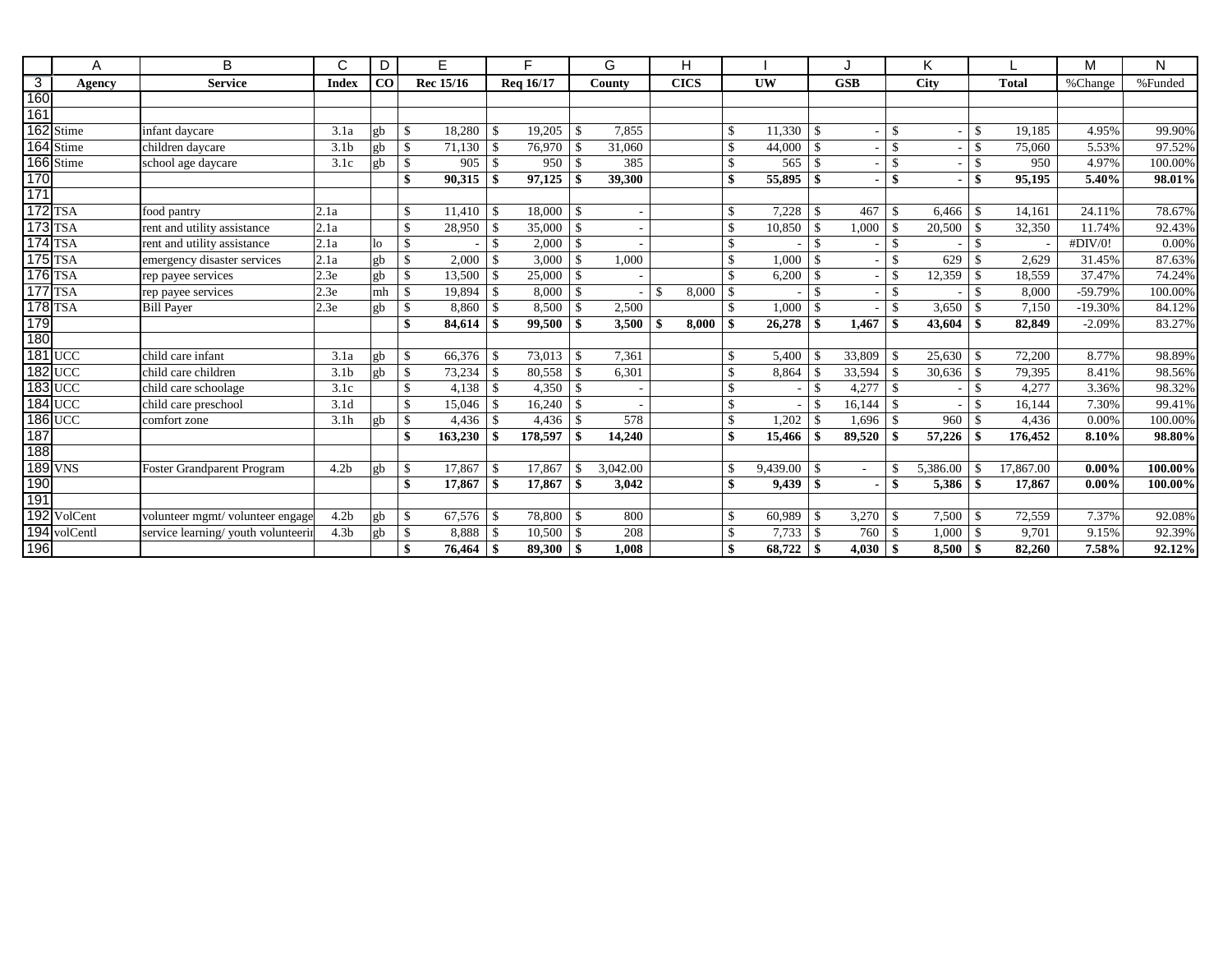|                | A              | B                                   | C                | D        | E                      |                    | Е         |               | G        |               | H           |                    |           |                 |                          |                    | K           |               |              | M         | N       |
|----------------|----------------|-------------------------------------|------------------|----------|------------------------|--------------------|-----------|---------------|----------|---------------|-------------|--------------------|-----------|-----------------|--------------------------|--------------------|-------------|---------------|--------------|-----------|---------|
| $\overline{3}$ | Agency         | <b>Service</b>                      | <b>Index</b>     | $\bf CO$ | Rec 15/16              |                    | Reg 16/17 |               | County   |               | <b>CICS</b> |                    | <b>UW</b> |                 | <b>GSB</b>               |                    | <b>City</b> |               | <b>Total</b> | %Change   | %Funded |
| 160            |                |                                     |                  |          |                        |                    |           |               |          |               |             |                    |           |                 |                          |                    |             |               |              |           |         |
| 161            |                |                                     |                  |          |                        |                    |           |               |          |               |             |                    |           |                 |                          |                    |             |               |              |           |         |
|                | 162 Stime      | infant daycare                      | 3.1a             | gh       | \$<br>18,280           | \$                 | 19,205    | -\$           | 7,855    |               |             | $\mathcal{S}$      | 11,330    | -8              | $\overline{\phantom{0}}$ | -S                 |             | <sup>\$</sup> | 19,185       | 4.95%     | 99.90%  |
|                | 164 Stime      | children davcare                    | 3.1 <sub>b</sub> | gb       | $\mathbb{S}$<br>71,130 | $\mathbf{\hat{s}}$ | 76.970    | -\$           | 31,060   |               |             | $\mathbf{\hat{S}}$ | 44,000    |                 | ٠                        | <sup>\$</sup>      |             |               | 75,060       | 5.53%     | 97.52%  |
|                | 166 Stime      | school age daycare                  | 3.1c             | ջb       | \$<br>905              | $\mathbf{\hat{s}}$ | 950       |               | 385      |               |             | $\mathbf{\hat{S}}$ | 565       |                 |                          | \$                 |             |               | 950          | 4.97%     | 100.00% |
| 170            |                |                                     |                  |          | \$<br>90,315           | \$                 | 97,125    |               | 39,300   |               |             | \$                 | 55,895    |                 |                          | \$                 |             |               | 95,195       | 5.40%     | 98.01%  |
| 171            |                |                                     |                  |          |                        |                    |           |               |          |               |             |                    |           |                 |                          |                    |             |               |              |           |         |
|                | <b>172 TSA</b> | food pantry                         | 2.1a             |          | \$<br>11,410           | $\mathbf{\hat{S}}$ | 18,000    | -\$           |          |               |             | $\mathcal{S}$      | 7,228     |                 | 467                      | -\$                | 6.466       | <sup>\$</sup> | 14,161       | 24.11%    | 78.67%  |
|                | <b>173 TSA</b> | rent and utility assistance         | 2.1a             |          | \$<br>28,950           | $\mathcal{S}$      | 35,000    | $\mathcal{S}$ |          |               |             | $\mathcal{S}$      | 10,850    |                 | 1,000                    | -\$                | 20,500      |               | 32,350       | 11.74%    | 92.43%  |
|                | <b>174 TSA</b> | rent and utility assistance         | 2.1a             | lo       | \$                     | $\mathcal{S}$      | 2,000     | $\mathcal{S}$ |          |               |             | $\mathbf{\hat{S}}$ |           | $\mathcal{L}$   |                          | <sup>\$</sup>      |             |               |              | #DIV/0!   | 0.00%   |
|                | <b>175 TSA</b> | emergency disaster services         | 2.1a             | gb       | 2,000<br>\$            | -\$                | 3,000     | -\$           | 1,000    |               |             | £,                 | 1,000     |                 |                          | -\$                | 629         |               | 2,629        | 31.45%    | 87.63%  |
|                | <b>176 TSA</b> | rep payee services                  | 2.3e             | gb       | $\mathbb{S}$<br>13.500 | $\mathbf{\hat{s}}$ | 25,000    | -\$           |          |               |             | $\mathcal{L}$      | 6,200     |                 | $\overline{\phantom{0}}$ | <sup>\$</sup>      | 12,359      |               | 18,559       | 37.47%    | 74.24%  |
|                | 177 TSA        | rep payee services                  | 2.3e             | mh       | $\mathbf{s}$<br>19,894 | -S                 | 8,000     | $\mathcal{S}$ |          | $\mathcal{S}$ | 8,000       | \$                 |           | $\mathcal{L}$   |                          | <sup>\$</sup>      |             |               | 8.000        | $-59.79%$ | 100.00% |
|                | <b>178 TSA</b> | <b>Bill Payer</b>                   | 2.3e             | ₫þ       | \$<br>8,860            |                    | 8,500     |               | 2,500    |               |             | ¢                  | 1,000     |                 |                          | $\mathbf{\hat{S}}$ | 3,650       |               | 7,150        | $-19.30%$ | 84.12%  |
| 179            |                |                                     |                  |          | \$<br>84,614           | -\$                | 99,500    |               | 3,500    | \$            | 8.000       | \$                 | 26,278    |                 | 1,467                    | $\mathbf{A}$       | 43,604      |               | 82,849       | $-2.09%$  | 83.27%  |
| 180            |                |                                     |                  |          |                        |                    |           |               |          |               |             |                    |           |                 |                          |                    |             |               |              |           |         |
|                | <b>181 UCC</b> | child care infant                   | 3.1a             | gb       | \$<br>66,376           | $\mathcal{S}$      | 73,013    | -\$           | 7,361    |               |             | \$                 | 5,400     |                 | 33,809                   | $\mathbf{\hat{S}}$ | 25,630      |               | 72,200       | 8.77%     | 98.89%  |
|                | <b>182 UCC</b> | child care children                 | 3.1 <sub>b</sub> | gb       | 73,234<br>$\mathbb{S}$ | \$.                | 80,558    | -\$           | 6,301    |               |             | -\$                | 8,864     |                 | 33,594                   | -\$                | 30,636      |               | 79.395       | 8.41%     | 98.56%  |
|                | <b>183 UCC</b> | child care schoolage                | 3.1c             |          | \$<br>4,138            | -S                 | 4,350     | - \$          |          |               |             | £,                 |           |                 | 4,277                    | -8                 |             |               | 4,277        | 3.36%     | 98.32%  |
|                | <b>184 UCC</b> | child care preschool                | 3.1 <sub>d</sub> |          | \$<br>15,046           | -\$                | 16,240    | -\$           |          |               |             | $\mathcal{S}$      |           | -\$             | 16,144                   | -S                 |             |               | 16,144       | 7.30%     | 99.41%  |
|                | <b>186 UCC</b> | comfort zone                        | 3.1h             | gb       | \$<br>4,436            | $\mathbf{\hat{s}}$ | 4,436     | $\mathcal{S}$ | 578      |               |             | $\mathcal{S}$      | 1,202     |                 | 1,696                    | $\mathcal{S}$      | 960         |               | 4,436        | 0.00%     | 100.00% |
| 187            |                |                                     |                  |          | \$<br>163,230          |                    | 178,597   | -\$           | 14,240   |               |             | \$                 | 15,466    |                 | 89,520                   |                    | 57,226      |               | 176,452      | 8.10%     | 98.80%  |
| 188            |                |                                     |                  |          |                        |                    |           |               |          |               |             |                    |           |                 |                          |                    |             |               |              |           |         |
|                | 189 VNS        | <b>Foster Grandparent Program</b>   | 4.2 <sub>b</sub> |          | \$<br>17,867           | S.                 | 17.867    |               | 3,042.00 |               |             | -\$                | 9,439.00  |                 |                          | -\$                | 5,386.00    |               | 17,867.00    | $0.00\%$  | 100.00% |
| 190            |                |                                     |                  |          | \$<br>17,867           | $\mathbf{\hat{S}}$ | 17,867    |               | 3,042    |               |             | \$                 | 9.439     | $\ddot{\bm{x}}$ | $\blacksquare$           | $\mathbf{\hat{S}}$ | 5,386       |               | 17,867       | $0.00\%$  | 100.00% |
| 191            |                |                                     |                  |          |                        |                    |           |               |          |               |             |                    |           |                 |                          |                    |             |               |              |           |         |
|                | 192 VolCent    | volunteer mgmt/volunteer engage     | 4.2 <sub>b</sub> | gh       | $\mathbb{S}$<br>67,576 | -\$                | 78,800    | -\$           | 800      |               |             | $\mathcal{S}$      | 60,989    |                 | 3,270                    | -\$                | 7,500       | -\$           | 72,559       | 7.37%     | 92.08%  |
|                | 194 volCentl   | service learning/ youth volunteerin | 4.3 <sub>b</sub> | gb       | $\mathbb{S}$<br>8,888  | \$                 | 10,500    | -\$           | 208      |               |             | -\$                | 7,733     |                 | 760                      | -\$                | 1,000       |               | 9,701        | 9.15%     | 92.39%  |
| 196            |                |                                     |                  |          | \$<br>76,464           |                    | 89,300    | -\$           | 1,008    |               |             |                    | 68,722    |                 | 4,030                    |                    | 8,500       |               | 82,260       | 7.58%     | 92.12%  |